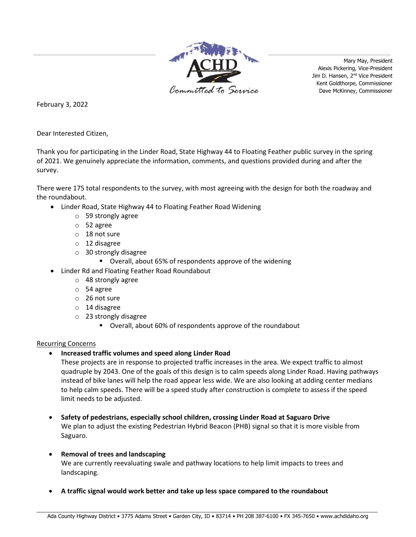

Mary May, President Alexis Pickering, Vice-President Jim D. Hansen, 2<sup>nd</sup> Vice President Kent Goldthorpe, Commissioner Dave McKinney, Commissioner

February 3, 2022

Dear Interested Citizen,

Thank you for participating in the Linder Road, State Highway 44 to Floating Feather public survey in the spring of 2021. We genuinely appreciate the information, comments, and questions provided during and after the survey.

There were 175 total respondents to the survey, with most agreeing with the design for both the roadway and the roundabout.

- Linder Road, State Highway 44 to Floating Feather Road Widening
	- o 59 strongly agree
	- o 52 agree
	- o 18 not sure
	- o 12 disagree
	- o 30 strongly disagree
		- Overall, about 65% of respondents approve of the widening
- Linder Rd and Floating Feather Road Roundabout
	- o 48 strongly agree
	- o 54 agree
	- o 26 not sure
	- o 14 disagree
	- o 23 strongly disagree
		- Overall, about 60% of respondents approve of the roundabout

## Recurring Concerns

• **Increased traffic volumes and speed along Linder Road**

These projects are in response to projected traffic increases in the area. We expect traffic to almost quadruple by 2043. One of the goals of this design is to calm speeds along Linder Road. Having pathways instead of bike lanes will help the road appear less wide. We are also looking at adding center medians to help calm speeds. There will be a speed study after construction is complete to assess if the speed limit needs to be adjusted.

- **Safety of pedestrians, especially school children, crossing Linder Road at Saguaro Drive** We plan to adjust the existing Pedestrian Hybrid Beacon (PHB) signal so that it is more visible from Saguaro.
- **Removal of trees and landscaping** We are currently reevaluating swale and pathway locations to help limit impacts to trees and landscaping.
- **A traffic signal would work better and take up less space compared to the roundabout**